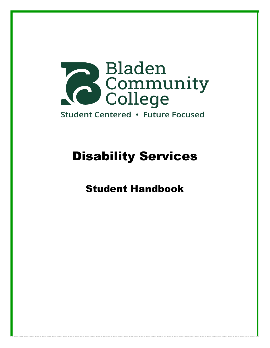

# Disability Services

# Student Handbook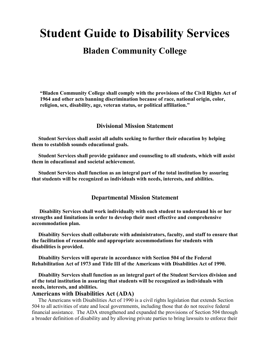# **Student Guide to Disability Services**

# **Bladen Community College**

**"Bladen Community College shall comply with the provisions of the Civil Rights Act of 1964 and other acts banning discrimination because of race, national origin, color, religion, sex, disability, age, veteran status, or political affiliation."**

### **Divisional Mission Statement**

 **Student Services shall assist all adults seeking to further their education by helping them to establish sounds educational goals.**

 **Student Services shall provide guidance and counseling to all students, which will assist them in educational and societal achievement.**

 **Student Services shall function as an integral part of the total institution by assuring that students will be recognized as individuals with needs, interests, and abilities.**

#### **Departmental Mission Statement**

 **Disability Services shall work individually with each student to understand his or her strengths and limitations in order to develop their most effective and comprehensive accommodation plan.**

 **Disability Services shall collaborate with administrators, faculty, and staff to ensure that the facilitation of reasonable and appropriate accommodations for students with disabilities is provided.**

 **Disability Services will operate in accordance with Section 504 of the Federal Rehabilitation Act of 1973 and Title III of the Americans with Disabilities Act of 1990.**

 **Disability Services shall function as an integral part of the Student Services division and of the total institution in assuring that students will be recognized as individuals with needs, interests, and abilities.**

## **Americans with Disabilities Act (ADA)**

 The Americans with Disabilities Act of 1990 is a civil rights legislation that extends Section 504 to all activities of state and local governments, including those that do not receive federal financial assistance. The ADA strengthened and expanded the provisions of Section 504 through a broader definition of disability and by allowing private parties to bring lawsuits to enforce their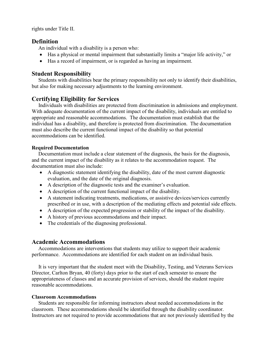rights under Title II.

## **Definition**

An individual with a disability is a person who:

- Has a physical or mental impairment that substantially limits a "major life activity," or
- Has a record of impairment, or is regarded as having an impairment.

## **Student Responsibility**

 Students with disabilities bear the primary responsibility not only to identify their disabilities, but also for making necessary adjustments to the learning environment.

# **Certifying Eligibility for Services**

 Individuals with disabilities are protected from discrimination in admissions and employment. With adequate documentation of the current impact of the disability, individuals are entitled to appropriate and reasonable accommodations. The documentation must establish that the individual has a disability, and therefore is protected from discrimination. The documentation must also describe the current functional impact of the disability so that potential accommodations can be identified.

## **Required Documentation**

 Documentation must include a clear statement of the diagnosis, the basis for the diagnosis, and the current impact of the disability as it relates to the accommodation request. The documentation must also include:

- A diagnostic statement identifying the disability, date of the most current diagnostic evaluation, and the date of the original diagnosis.
- A description of the diagnostic tests and the examiner's evaluation.
- A description of the current functional impact of the disability.
- A statement indicating treatments, medications, or assistive devices/services currently prescribed or in use, with a description of the mediating effects and potential side effects.
- A description of the expected progression or stability of the impact of the disability.
- A history of previous accommodations and their impact.
- The credentials of the diagnosing professional.

## **Academic Accommodations**

 Accommodations are interventions that students may utilize to support their academic performance. Accommodations are identified for each student on an individual basis.

 It is very important that the student meet with the Disability, Testing, and Veterans Services Director, Carlton Bryan, 40 (forty) days prior to the start of each semester to ensure the appropriateness of classes and an accurate provision of services, should the student require reasonable accommodations.

### **Classroom Accommodations**

 Students are responsible for informing instructors about needed accommodations in the classroom. These accommodations should be identified through the disability coordinator. Instructors are not required to provide accommodations that are not previously identified by the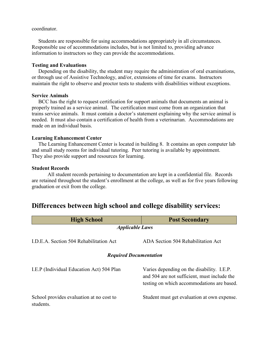#### coordinator.

 Students are responsible for using accommodations appropriately in all circumstances. Responsible use of accommodations includes, but is not limited to, providing advance information to instructors so they can provide the accommodations.

#### **Testing and Evaluations**

 Depending on the disability, the student may require the administration of oral examinations, or through use of Assistive Technology, and/or, extensions of time for exams. Instructors maintain the right to observe and proctor tests to students with disabilities without exceptions.

#### **Service Animals**

 BCC has the right to request certification for support animals that documents an animal is properly trained as a service animal. The certification must come from an organization that trains service animals. It must contain a doctor's statement explaining why the service animal is needed. It must also contain a certification of health from a veterinarian. Accommodations are made on an individual basis.

#### **Learning Enhancement Center**

 The Learning Enhancement Center is located in building 8. It contains an open computer lab and small study rooms for individual tutoring. Peer tutoring is available by appointment. They also provide support and resources for learning.

#### **Student Records**

All student records pertaining to documentation are kept in a confidential file. Records are retained throughout the student's enrollment at the college, as well as for five years following graduation or exit from the college.

# **Differences between high school and college disability services:**

| <b>High School</b>                                    | <b>Post Secondary</b>                                                                                                                    |  |  |  |  |
|-------------------------------------------------------|------------------------------------------------------------------------------------------------------------------------------------------|--|--|--|--|
| <b>Applicable Laws</b>                                |                                                                                                                                          |  |  |  |  |
| I.D.E.A. Section 504 Rehabilitation Act               | ADA Section 504 Rehabilitation Act                                                                                                       |  |  |  |  |
| <b>Required Documentation</b>                         |                                                                                                                                          |  |  |  |  |
| I.E.P (Individual Education Act) 504 Plan             | Varies depending on the disability. I.E.P.<br>and 504 are not sufficient, must include the<br>testing on which accommodations are based. |  |  |  |  |
| School provides evaluation at no cost to<br>students. | Student must get evaluation at own expense.                                                                                              |  |  |  |  |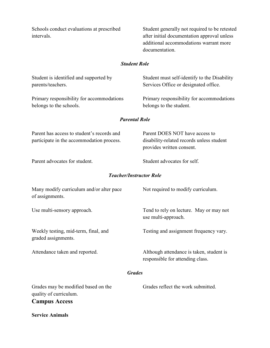Schools conduct evaluations at prescribed Student generally not required to be retested intervals. after initial documentation approval unless additional accommodations warrant more documentation.

## *Student Role*

| Student is identified and supported by<br>parents/teachers.                             | Student must self-identify to the Disability<br>Services Office or designated office.                    |
|-----------------------------------------------------------------------------------------|----------------------------------------------------------------------------------------------------------|
| Primary responsibility for accommodations<br>belongs to the schools.                    | Primary responsibility for accommodations<br>belongs to the student.                                     |
|                                                                                         | <b>Parental Role</b>                                                                                     |
| Parent has access to student's records and<br>participate in the accommodation process. | Parent DOES NOT have access to<br>disability-related records unless student<br>provides written consent. |
| Parent advocates for student.                                                           | Student advocates for self.                                                                              |
|                                                                                         | <b>Teacher/Instructor Role</b>                                                                           |
| Many modify curriculum and/or alter pace<br>of assignments.                             | Not required to modify curriculum.                                                                       |
| Use multi-sensory approach.                                                             | Tend to rely on lecture. May or may not<br>use multi-approach.                                           |
| Weekly testing, mid-term, final, and<br>graded assignments.                             | Testing and assignment frequency vary.                                                                   |
| Attendance taken and reported.                                                          | Although attendance is taken, student is<br>responsible for attending class.                             |
|                                                                                         | <b>Grades</b>                                                                                            |
| Grades may be modified based on the<br>quality of curriculum.<br><b>Campus Access</b>   | Grades reflect the work submitted.                                                                       |
| <b>Service Animals</b>                                                                  |                                                                                                          |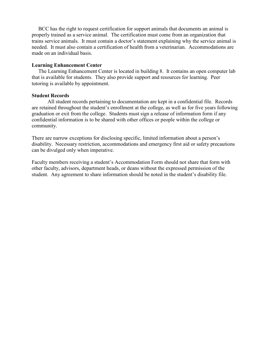BCC has the right to request certification for support animals that documents an animal is properly trained as a service animal. The certification must come from an organization that trains service animals. It must contain a doctor's statement explaining why the service animal is needed. It must also contain a certification of health from a veterinarian. Accommodations are made on an individual basis.

#### **Learning Enhancement Center**

 The Learning Enhancement Center is located in building 8. It contains an open computer lab that is available for students. They also provide support and resources for learning. Peer tutoring is available by appointment.

#### **Student Records**

All student records pertaining to documentation are kept in a confidential file. Records are retained throughout the student's enrollment at the college, as well as for five years following graduation or exit from the college. Students must sign a release of information form if any confidential information is to be shared with other offices or people within the college or community.

There are narrow exceptions for disclosing specific, limited information about a person's disability. Necessary restriction, accommodations and emergency first aid or safety precautions can be divulged only when imperative.

Faculty members receiving a student's Accommodation Form should not share that form with other faculty, advisors, department heads, or deans without the expressed permission of the student. Any agreement to share information should be noted in the student's disability file.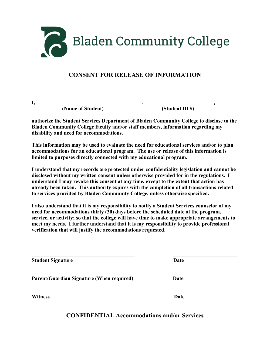

# **CONSENT FOR RELEASE OF INFORMATION**

| - |  |
|---|--|

 **(Name of Student) (Student ID #)**

**authorize the Student Services Department of Bladen Community College to disclose to the Bladen Community College faculty and/or staff members, information regarding my disability and need for accommodations.**

**This information may be used to evaluate the need for educational services and/or to plan accommodations for an educational program. The use or release of this information is limited to purposes directly connected with my educational program.**

**I understand that my records are protected under confidentiality legislation and cannot be disclosed without my written consent unless otherwise provided for in the regulations. I understand I may revoke this consent at any time, except to the extent that action has already been taken. This authority expires with the completion of all transactions related to services provided by Bladen Community College, unless otherwise specified.**

**I also understand that it is my responsibility to notify a Student Services counselor of my need for accommodations thirty (30) days before the scheduled date of the program, service, or activity; so that the college will have time to make appropriate arrangements to meet my needs. I further understand that it is my responsibility to provide professional verification that will justify the accommodations requested.**

**\_\_\_\_\_\_\_\_\_\_\_\_\_\_\_\_\_\_\_\_\_\_\_\_\_\_\_\_\_\_\_\_\_\_\_\_\_\_\_ \_\_\_\_\_\_\_\_\_\_\_\_\_\_\_\_\_\_\_\_\_\_\_\_**

**Student Signature Date** 

**\_\_\_\_\_\_\_\_\_\_\_\_\_\_\_\_\_\_\_\_\_\_\_\_\_\_\_\_\_\_\_\_\_\_\_\_\_\_\_ \_\_\_\_\_\_\_\_\_\_\_\_\_\_\_\_\_\_\_\_\_\_\_\_ Parent/Guardian Signature (When required)** Date

**Witness Date**

**CONFIDENTIAL Accommodations and/or Services**

**\_\_\_\_\_\_\_\_\_\_\_\_\_\_\_\_\_\_\_\_\_\_\_\_\_\_\_\_\_\_\_\_\_\_\_\_\_\_\_ \_\_\_\_\_\_\_\_\_\_\_\_\_\_\_\_\_\_\_\_\_\_\_\_**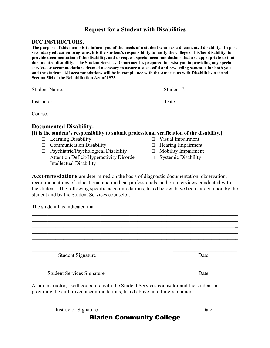# **Request for a Student with Disabilities**

## **BCC INSTRUCTORS,**

| The purpose of this memo is to inform you of the needs of a student who has a documented disability. In post<br>secondary education programs, it is the student's responsibility to notify the college of his/her disability, to<br>provide documentation of the disability, and to request special accommodations that are appropriate to that<br>documented disability. The Student Services Department is prepared to assist you in providing any special<br>services or accommodations deemed necessary to assure a successful and rewarding semester for both you<br>and the student. All accommodations will be in compliance with the Americans with Disabilities Act and<br>Section 504 of the Rehabilitation Act of 1973. |                                                                                                                                          |  |  |
|------------------------------------------------------------------------------------------------------------------------------------------------------------------------------------------------------------------------------------------------------------------------------------------------------------------------------------------------------------------------------------------------------------------------------------------------------------------------------------------------------------------------------------------------------------------------------------------------------------------------------------------------------------------------------------------------------------------------------------|------------------------------------------------------------------------------------------------------------------------------------------|--|--|
|                                                                                                                                                                                                                                                                                                                                                                                                                                                                                                                                                                                                                                                                                                                                    | Student #:                                                                                                                               |  |  |
|                                                                                                                                                                                                                                                                                                                                                                                                                                                                                                                                                                                                                                                                                                                                    | Date: $\qquad \qquad$                                                                                                                    |  |  |
| Course:                                                                                                                                                                                                                                                                                                                                                                                                                                                                                                                                                                                                                                                                                                                            |                                                                                                                                          |  |  |
| <b>Documented Disability:</b><br>[It is the student's responsibility to submit professional verification of the disability.]<br>$\Box$ Learning Disability<br><b>Communication Disability</b><br>$\Box$<br>Psychiatric/Psychological Disability<br>□<br><b>Attention Deficit/Hyperactivity Disorder</b><br>$\Box$<br><b>Intellectual Disability</b><br>$\Box$                                                                                                                                                                                                                                                                                                                                                                      | $\Box$ Visual Impairment<br>Hearing Impairment<br>$\Box$<br><b>Mobility Impairment</b><br>$\Box$<br><b>Systemic Disability</b><br>$\Box$ |  |  |
| <b>Accommodations</b> are determined on the basis of diagnostic documentation, observation,<br>recommendations of educational and medical professionals, and on interviews conducted with<br>the student. The following specific accommodations, listed below, have been agreed upon by the<br>student and by the Student Services counselor:<br>The student has indicated that example and the students of the students of the students of the students of the students of the students of the students of the students of the students of the students of the students of the                                                                                                                                                    |                                                                                                                                          |  |  |
|                                                                                                                                                                                                                                                                                                                                                                                                                                                                                                                                                                                                                                                                                                                                    |                                                                                                                                          |  |  |
|                                                                                                                                                                                                                                                                                                                                                                                                                                                                                                                                                                                                                                                                                                                                    |                                                                                                                                          |  |  |

Student Signature Date

Student Services Signature Date

As an instructor, I will cooperate with the Student Services counselor and the student in providing the authorized accommodations, listed above, in a timely manner.

Instructor Signature Date

 $\mathcal{L}_\text{max}$  , and the contribution of the contribution of  $\mathcal{L}_\text{max}$  , and the contribution of  $\mathcal{L}_\text{max}$ 

Bladen Community College

 $\_$  , and the contribution of the contribution of  $\mathcal{L}_\mathcal{A}$  , and the contribution of  $\mathcal{L}_\mathcal{A}$ 

 $\frac{1}{2}$  ,  $\frac{1}{2}$  ,  $\frac{1}{2}$  ,  $\frac{1}{2}$  ,  $\frac{1}{2}$  ,  $\frac{1}{2}$  ,  $\frac{1}{2}$  ,  $\frac{1}{2}$  ,  $\frac{1}{2}$  ,  $\frac{1}{2}$  ,  $\frac{1}{2}$  ,  $\frac{1}{2}$  ,  $\frac{1}{2}$  ,  $\frac{1}{2}$  ,  $\frac{1}{2}$  ,  $\frac{1}{2}$  ,  $\frac{1}{2}$  ,  $\frac{1}{2}$  ,  $\frac{1$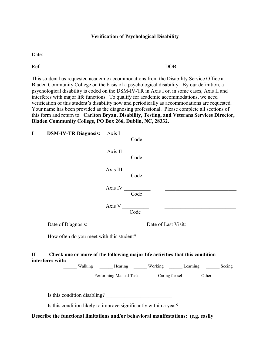#### **Verification of Psychological Disability**

Date: \_\_\_\_\_\_\_\_\_\_\_\_\_\_\_\_\_\_\_\_\_\_\_\_\_\_\_\_\_

Ref:

| DOB: |
|------|
|------|

This student has requested academic accommodations from the Disability Service Office at Bladen Community College on the basis of a psychological disability. By our definition, a psychological disability is coded on the DSM-IV-TR in Axis I or, in some cases, Axis II and interferes with major life functions. To qualify for academic accommodations, we need verification of this student's disability now and periodically as accommodations are requested. Your name has been provided as the diagnosing professional. Please complete all sections of this form and return to: **Carlton Bryan, Disability, Testing, and Veterans Services Director, Bladen Community College, PO Box 266, Dublin, NC, 28332.**

| $\bf{I}$ | DSM-IV-TR Diagnosis: Axis I                                                                      |                                                                    | Code |                                                                           |  |
|----------|--------------------------------------------------------------------------------------------------|--------------------------------------------------------------------|------|---------------------------------------------------------------------------|--|
|          |                                                                                                  |                                                                    |      | $\frac{1}{\text{Code}}$                                                   |  |
|          |                                                                                                  | Axis III Code                                                      |      | <u> 1980 - Andrea Andrew Maria (h. 1980).</u>                             |  |
|          |                                                                                                  | Axis IV $\frac{1}{\sqrt{1-\frac{1}{2}}\left(1-\frac{1}{2}\right)}$ | Code |                                                                           |  |
|          |                                                                                                  |                                                                    |      | $\frac{1}{\text{Code}}$                                                   |  |
|          | Date of Diagnosis: Date of Last Visit:                                                           |                                                                    |      |                                                                           |  |
|          |                                                                                                  |                                                                    |      |                                                                           |  |
| П        | Check one or more of the following major life activities that this condition<br>interferes with: |                                                                    |      | Walking ________ Hearing ________ Working _______ Learning _______ Seeing |  |
|          |                                                                                                  |                                                                    |      | Performing Manual Tasks _______ Caring for self _______ Other             |  |
|          |                                                                                                  |                                                                    |      |                                                                           |  |
|          | Is this condition likely to improve significantly within a year? _______________                 |                                                                    |      |                                                                           |  |
|          | Describe the functional limitations and/or behavioral manifestations: (e.g. easily               |                                                                    |      |                                                                           |  |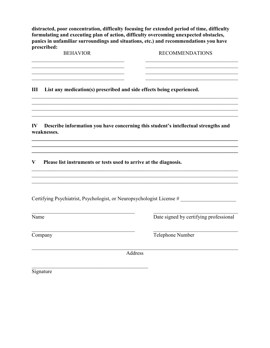**distracted, poor concentration, difficulty focusing for extended period of time, difficulty formulating and executing plan of action, difficulty overcoming unexpected obstacles, panics in unfamiliar surroundings and situations, etc.) and recommendations you have prescribed:**

| <b>BEHAVIOR</b> | <b>RECOMMENDATIONS</b> |
|-----------------|------------------------|
|                 |                        |
|                 |                        |
|                 |                        |
|                 |                        |

\_\_\_\_\_\_\_\_\_\_\_\_\_\_\_\_\_\_\_\_\_\_\_\_\_\_\_\_\_\_\_\_\_\_\_\_\_\_\_\_\_\_\_\_\_\_\_\_\_\_\_\_\_\_\_\_\_\_\_\_\_\_\_\_\_\_\_\_\_\_\_\_\_\_\_\_\_\_

\_\_\_\_\_\_\_\_\_\_\_\_\_\_\_\_\_\_\_\_\_\_\_\_\_\_\_\_\_\_\_\_\_\_\_\_\_\_\_\_\_\_\_\_\_\_\_\_\_\_\_\_\_\_\_\_\_\_\_\_\_\_\_\_\_\_\_\_\_\_\_\_\_\_\_\_\_\_

**\_\_\_\_\_\_\_\_\_\_\_\_\_\_\_\_\_\_\_\_\_\_\_\_\_\_\_\_\_\_\_\_\_\_\_\_\_\_\_\_\_\_\_\_\_\_\_\_\_\_\_\_\_\_\_\_\_\_\_\_\_\_\_\_\_\_\_\_\_\_\_\_\_\_\_\_\_\_ \_\_\_\_\_\_\_\_\_\_\_\_\_\_\_\_\_\_\_\_\_\_\_\_\_\_\_\_\_\_\_\_\_\_\_\_\_\_\_\_\_\_\_\_\_\_\_\_\_\_\_\_\_\_\_\_\_\_\_\_\_\_\_\_\_\_\_\_\_\_\_\_\_\_\_\_\_\_**

\_\_\_\_\_\_\_\_\_\_\_\_\_\_\_\_\_\_\_\_\_\_\_\_\_\_\_\_\_\_\_\_\_\_\_\_\_\_\_\_\_\_\_\_\_\_\_\_\_\_\_\_\_\_\_\_\_\_\_\_\_\_\_\_\_\_\_\_\_\_\_\_\_\_\_\_\_\_ \_\_\_\_\_\_\_\_\_\_\_\_\_\_\_\_\_\_\_\_\_\_\_\_\_\_\_\_\_\_\_\_\_\_\_\_\_\_\_\_\_\_\_\_\_\_\_\_\_\_\_\_\_\_\_\_\_\_\_\_\_\_\_\_\_\_\_\_\_\_\_\_\_\_\_\_\_\_

 $\mathcal{L}_\mathcal{L} = \{ \mathcal{L}_\mathcal{L} = \{ \mathcal{L}_\mathcal{L} = \{ \mathcal{L}_\mathcal{L} = \{ \mathcal{L}_\mathcal{L} = \{ \mathcal{L}_\mathcal{L} = \{ \mathcal{L}_\mathcal{L} = \{ \mathcal{L}_\mathcal{L} = \{ \mathcal{L}_\mathcal{L} = \{ \mathcal{L}_\mathcal{L} = \{ \mathcal{L}_\mathcal{L} = \{ \mathcal{L}_\mathcal{L} = \{ \mathcal{L}_\mathcal{L} = \{ \mathcal{L}_\mathcal{L} = \{ \mathcal{L}_\mathcal{$ 

**III List any medication(s) prescribed and side effects being experienced.**

**IV Describe information you have concerning this student's intellectual strengths and weaknesses.**

**V Please list instruments or tests used to arrive at the diagnosis.**

Certifying Psychiatrist, Psychologist, or Neuropsychologist License #

Name Date signed by certifying professional

 $\_$  , and the set of the set of the set of the set of the set of the set of the set of the set of the set of the set of the set of the set of the set of the set of the set of the set of the set of the set of the set of th Company Telephone Number

\_\_\_\_\_\_\_\_\_\_\_\_\_\_\_\_\_\_\_\_\_\_\_\_\_\_\_\_\_\_\_\_\_\_\_\_\_\_\_\_\_\_\_\_\_\_\_\_\_\_\_\_\_\_\_\_\_\_\_\_\_\_\_\_\_\_\_\_\_\_\_\_\_\_\_\_\_\_ Address

 $\mathcal{L}_\mathcal{L}$  , which is a set of the set of the set of the set of the set of the set of the set of the set of the set of the set of the set of the set of the set of the set of the set of the set of the set of the set of Signature